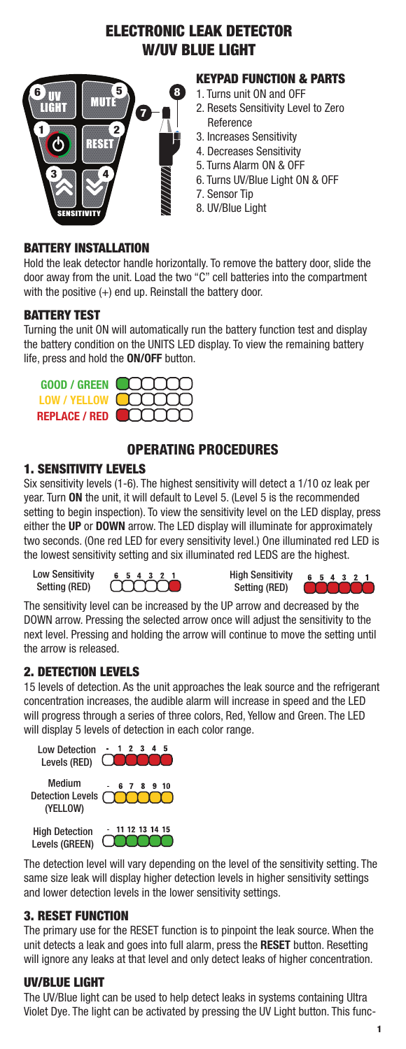# ELECTRONIC LEAK DETECTOR W/UV BLUE LIGHT



# KEYPAD FUNCTION & PARTS

- 1. Turns unit ON and OFF
- 2. Resets Sensitivity Level to Zero Reference
- 3. Increases Sensitivity
- 4. Decreases Sensitivity
- 5. Turns Alarm ON & OFF
- 6. Turns UV/Blue Light ON & OFF
- 7. Sensor Tip
- 8. UV/Blue Light

## BATTERY INSTALLATION

Hold the leak detector handle horizontally. To remove the battery door, slide the door away from the unit. Load the two "C" cell batteries into the compartment with the positive  $(+)$  end up. Reinstall the battery door.

## BATTERY TEST

Turning the unit ON will automatically run the battery function test and display the battery condition on the UNITS LED display. To view the remaining battery life, press and hold the **ON/OFF** button.

| GOOD / GREEN <b>COOPER</b>  |
|-----------------------------|
| LOW/YELLOW UIIII)           |
| REPLACE / RED <b>COOOOO</b> |

# OPERATING PROCEDURES

# 1. SENSITIVITY LEVELS

Six sensitivity levels (1-6). The highest sensitivity will detect a 1/10 oz leak per year. Turn **ON** the unit, it will default to Level 5. (Level 5 is the recommended setting to begin inspection). To view the sensitivity level on the LED display, press either the **UP** or **DOWN** arrow. The LED display will illuminate for approximately two seconds. (One red LED for every sensitivity level.) One illuminated red LED is the lowest sensitivity setting and six illuminated red LEDS are the highest.

Low Sensitivity Setting (RED)

ſ

High Sensitivity Setting (RED)



The sensitivity level can be increased by the UP arrow and decreased by the DOWN arrow. Pressing the selected arrow once will adjust the sensitivity to the next level. Pressing and holding the arrow will continue to move the setting until the arrow is released.

# 2. DETECTION LEVELS

15 levels of detection. As the unit approaches the leak source and the refrigerant concentration increases, the audible alarm will increase in speed and the LED will progress through a series of three colors, Red, Yellow and Green. The LED will display 5 levels of detection in each color range.



The detection level will vary depending on the level of the sensitivity setting. The same size leak will display higher detection levels in higher sensitivity settings and lower detection levels in the lower sensitivity settings.

#### 3. RESET FUNCTION

The primary use for the RESET function is to pinpoint the leak source. When the unit detects a leak and goes into full alarm, press the **RESET** button. Resetting will ignore any leaks at that level and only detect leaks of higher concentration.

#### UV/BLUE LIGHT

The UV/Blue light can be used to help detect leaks in systems containing Ultra Violet Dye. The light can be activated by pressing the UV Light button. This func-